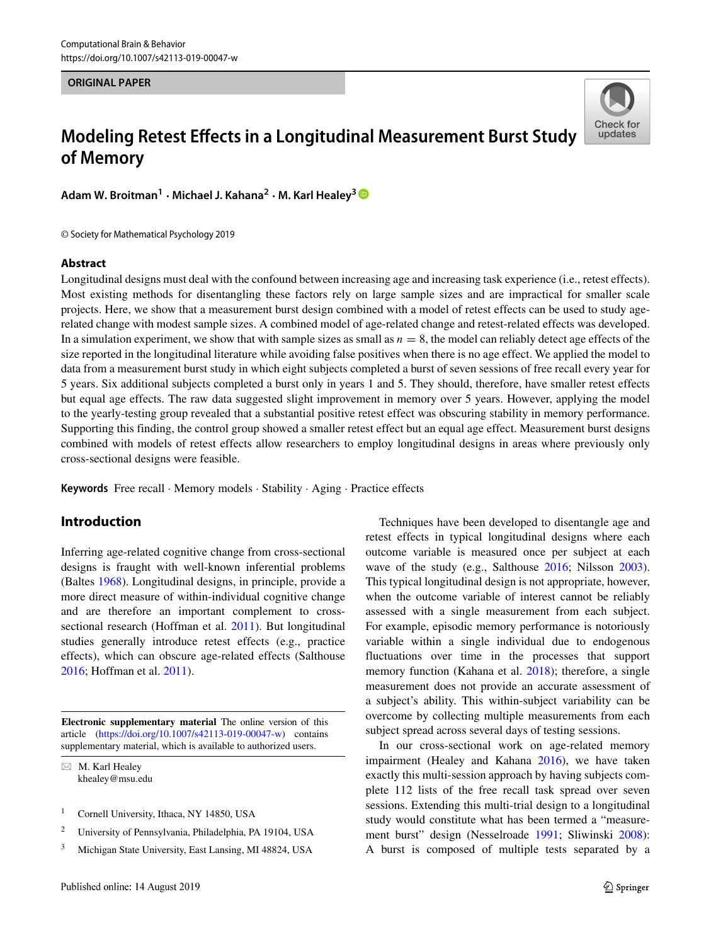#### **ORIGINAL PAPER**

# **Modeling Retest Effects in a Longitudinal Measurement Burst Study of Memory**

Check for updates

**Adam W. Broitman<sup>1</sup> · Michael J. Kahana<sup>2</sup> · M. Karl Healey<sup>3</sup>**

© Society for Mathematical Psychology 2019

## **Abstract**

Longitudinal designs must deal with the confound between increasing age and increasing task experience (i.e., retest effects). Most existing methods for disentangling these factors rely on large sample sizes and are impractical for smaller scale projects. Here, we show that a measurement burst design combined with a model of retest effects can be used to study agerelated change with modest sample sizes. A combined model of age-related change and retest-related effects was developed. In a simulation experiment, we show that with sample sizes as small as *n* = 8, the model can reliably detect age effects of the size reported in the longitudinal literature while avoiding false positives when there is no age effect. We applied the model to data from a measurement burst study in which eight subjects completed a burst of seven sessions of free recall every year for 5 years. Six additional subjects completed a burst only in years 1 and 5. They should, therefore, have smaller retest effects but equal age effects. The raw data suggested slight improvement in memory over 5 years. However, applying the model to the yearly-testing group revealed that a substantial positive retest effect was obscuring stability in memory performance. Supporting this finding, the control group showed a smaller retest effect but an equal age effect. Measurement burst designs combined with models of retest effects allow researchers to employ longitudinal designs in areas where previously only cross-sectional designs were feasible.

**Keywords** Free recall · Memory models · Stability · Aging · Practice effects

# **Introduction**

Inferring age-related cognitive change from cross-sectional designs is fraught with well-known inferential problems (Baltes [1968\)](#page-6-0). Longitudinal designs, in principle, provide a more direct measure of within-individual cognitive change and are therefore an important complement to crosssectional research (Hoffman et al. [2011\)](#page-6-1). But longitudinal studies generally introduce retest effects (e.g., practice effects), which can obscure age-related effects (Salthouse [2016;](#page-7-0) Hoffman et al. [2011\)](#page-6-1).

**Electronic supplementary material** The online version of this article [\(https://doi.org/10.1007/s42113-019-00047-w\)](https://doi.org/10.1007/s42113-019-00047-w) contains supplementary material, which is available to authorized users.

- M. Karl Healey [khealey@msu.edu](mailto: khealey@msu.edu)

- <sup>1</sup> Cornell University, Ithaca, NY 14850, USA
- <sup>2</sup> University of Pennsylvania, Philadelphia, PA 19104, USA
- <sup>3</sup> Michigan State University, East Lansing, MI 48824, USA

Techniques have been developed to disentangle age and retest effects in typical longitudinal designs where each outcome variable is measured once per subject at each wave of the study (e.g., Salthouse [2016;](#page-7-0) Nilsson [2003\)](#page-6-2). This typical longitudinal design is not appropriate, however, when the outcome variable of interest cannot be reliably assessed with a single measurement from each subject. For example, episodic memory performance is notoriously variable within a single individual due to endogenous fluctuations over time in the processes that support memory function (Kahana et al. [2018\)](#page-6-3); therefore, a single measurement does not provide an accurate assessment of a subject's ability. This within-subject variability can be overcome by collecting multiple measurements from each subject spread across several days of testing sessions.

In our cross-sectional work on age-related memory impairment (Healey and Kahana [2016\)](#page-6-4), we have taken exactly this multi-session approach by having subjects complete 112 lists of the free recall task spread over seven sessions. Extending this multi-trial design to a longitudinal study would constitute what has been termed a "measurement burst" design (Nesselroade [1991;](#page-6-5) Sliwinski [2008\)](#page-7-1): A burst is composed of multiple tests separated by a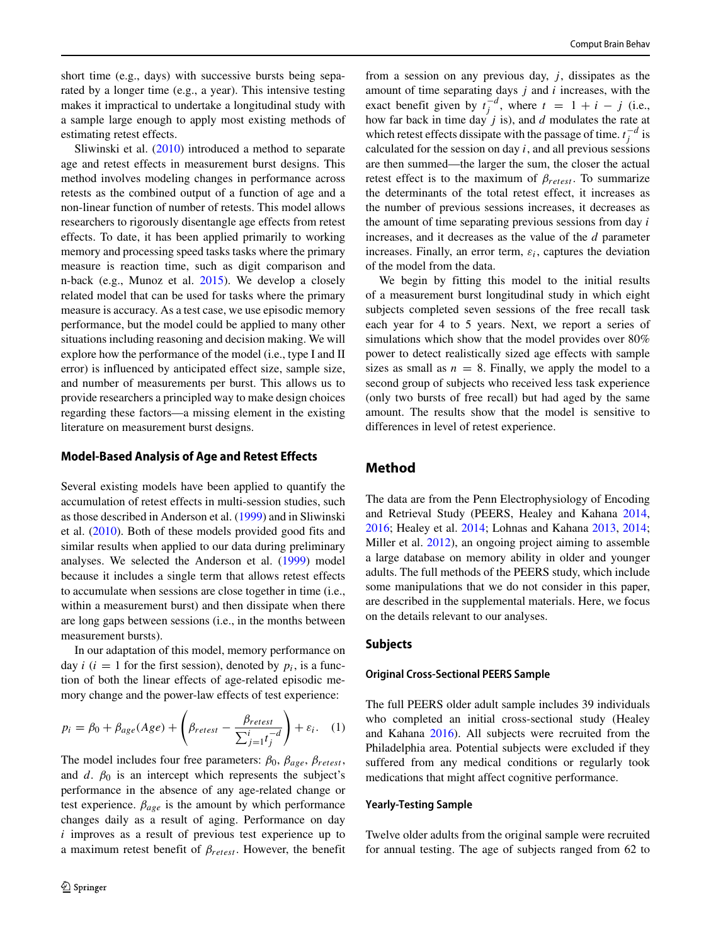short time (e.g., days) with successive bursts being separated by a longer time (e.g., a year). This intensive testing makes it impractical to undertake a longitudinal study with a sample large enough to apply most existing methods of estimating retest effects.

Sliwinski et al. [\(2010\)](#page-7-2) introduced a method to separate age and retest effects in measurement burst designs. This method involves modeling changes in performance across retests as the combined output of a function of age and a non-linear function of number of retests. This model allows researchers to rigorously disentangle age effects from retest effects. To date, it has been applied primarily to working memory and processing speed tasks tasks where the primary measure is reaction time, such as digit comparison and n-back (e.g., Munoz et al. [2015\)](#page-6-6). We develop a closely related model that can be used for tasks where the primary measure is accuracy. As a test case, we use episodic memory performance, but the model could be applied to many other situations including reasoning and decision making. We will explore how the performance of the model (i.e., type I and II error) is influenced by anticipated effect size, sample size, and number of measurements per burst. This allows us to provide researchers a principled way to make design choices regarding these factors—a missing element in the existing literature on measurement burst designs.

### **Model-Based Analysis of Age and Retest Effects**

Several existing models have been applied to quantify the accumulation of retest effects in multi-session studies, such as those described in Anderson et al. [\(1999\)](#page-6-7) and in Sliwinski et al. [\(2010\)](#page-7-2). Both of these models provided good fits and similar results when applied to our data during preliminary analyses. We selected the Anderson et al. [\(1999\)](#page-6-7) model because it includes a single term that allows retest effects to accumulate when sessions are close together in time (i.e., within a measurement burst) and then dissipate when there are long gaps between sessions (i.e., in the months between measurement bursts).

In our adaptation of this model, memory performance on day  $i$  ( $i = 1$  for the first session), denoted by  $p_i$ , is a function of both the linear effects of age-related episodic memory change and the power-law effects of test experience:

$$
p_i = \beta_0 + \beta_{age}(Age) + \left(\beta_{retest} - \frac{\beta_{retest}}{\sum_{j=1}^{i} t_j^{-d}}\right) + \varepsilon_i.
$$
 (1)

The model includes four free parameters:  $\beta_0$ ,  $\beta_{age}$ ,  $\beta_{retest}$ , and  $d$ .  $\beta_0$  is an intercept which represents the subject's performance in the absence of any age-related change or test experience.  $\beta_{age}$  is the amount by which performance changes daily as a result of aging. Performance on day *i* improves as a result of previous test experience up to a maximum retest benefit of *βretest* . However, the benefit from a session on any previous day,  $j$ , dissipates as the amount of time separating days *j* and *i* increases, with the exact benefit given by  $t_j^{-d}$ , where  $t = 1 + i - j$  (i.e., how far back in time day *j* is), and *d* modulates the rate at which retest effects dissipate with the passage of time.  $t_j^{-d}$  is calculated for the session on day *i*, and all previous sessions are then summed—the larger the sum, the closer the actual retest effect is to the maximum of  $\beta_{\text{retest}}$ . To summarize the determinants of the total retest effect, it increases as the number of previous sessions increases, it decreases as the amount of time separating previous sessions from day *i* increases, and it decreases as the value of the *d* parameter increases. Finally, an error term,  $\varepsilon_i$ , captures the deviation of the model from the data.

We begin by fitting this model to the initial results of a measurement burst longitudinal study in which eight subjects completed seven sessions of the free recall task each year for 4 to 5 years. Next, we report a series of simulations which show that the model provides over 80% power to detect realistically sized age effects with sample sizes as small as  $n = 8$ . Finally, we apply the model to a second group of subjects who received less task experience (only two bursts of free recall) but had aged by the same amount. The results show that the model is sensitive to differences in level of retest experience.

## **Method**

The data are from the Penn Electrophysiology of Encoding and Retrieval Study (PEERS, Healey and Kahana [2014,](#page-6-8) [2016;](#page-6-4) Healey et al. [2014;](#page-6-9) Lohnas and Kahana [2013,](#page-6-10) [2014;](#page-6-11) Miller et al. [2012\)](#page-6-12), an ongoing project aiming to assemble a large database on memory ability in older and younger adults. The full methods of the PEERS study, which include some manipulations that we do not consider in this paper, are described in the supplemental materials. Here, we focus on the details relevant to our analyses.

#### **Subjects**

#### **Original Cross-Sectional PEERS Sample**

The full PEERS older adult sample includes 39 individuals who completed an initial cross-sectional study (Healey and Kahana [2016\)](#page-6-4). All subjects were recruited from the Philadelphia area. Potential subjects were excluded if they suffered from any medical conditions or regularly took medications that might affect cognitive performance.

#### **Yearly-Testing Sample**

Twelve older adults from the original sample were recruited for annual testing. The age of subjects ranged from 62 to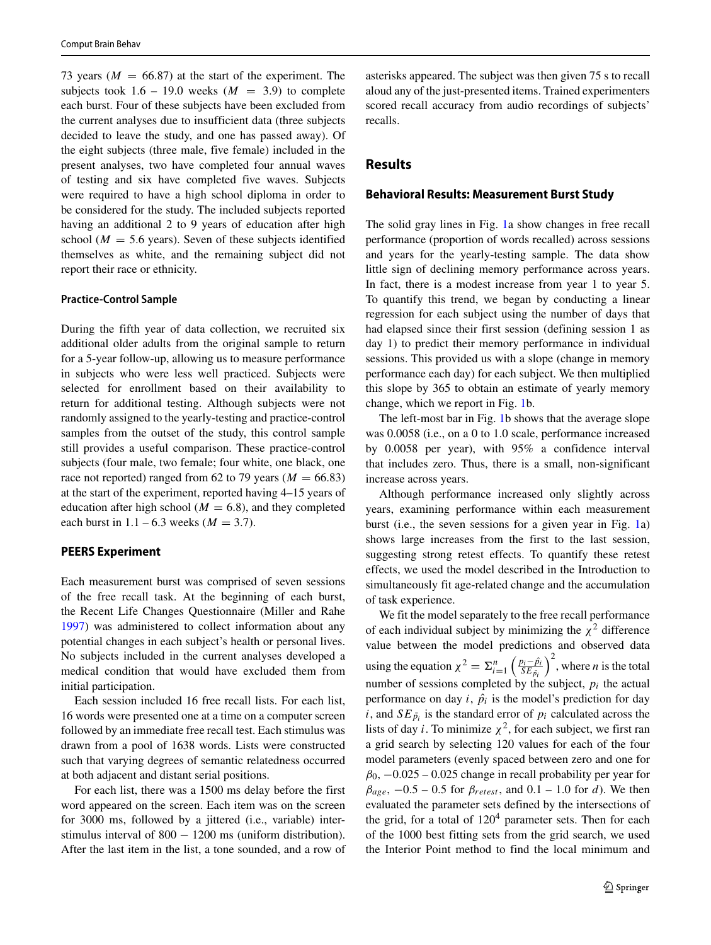73 years ( $M = 66.87$ ) at the start of the experiment. The subjects took  $1.6 - 19.0$  weeks  $(M = 3.9)$  to complete each burst. Four of these subjects have been excluded from the current analyses due to insufficient data (three subjects decided to leave the study, and one has passed away). Of the eight subjects (three male, five female) included in the present analyses, two have completed four annual waves of testing and six have completed five waves. Subjects were required to have a high school diploma in order to be considered for the study. The included subjects reported having an additional 2 to 9 years of education after high school ( $M = 5.6$  years). Seven of these subjects identified themselves as white, and the remaining subject did not report their race or ethnicity.

#### **Practice-Control Sample**

During the fifth year of data collection, we recruited six additional older adults from the original sample to return for a 5-year follow-up, allowing us to measure performance in subjects who were less well practiced. Subjects were selected for enrollment based on their availability to return for additional testing. Although subjects were not randomly assigned to the yearly-testing and practice-control samples from the outset of the study, this control sample still provides a useful comparison. These practice-control subjects (four male, two female; four white, one black, one race not reported) ranged from 62 to 79 years ( $M = 66.83$ ) at the start of the experiment, reported having 4–15 years of education after high school ( $M = 6.8$ ), and they completed each burst in  $1.1 - 6.3$  weeks ( $M = 3.7$ ).

## **PEERS Experiment**

Each measurement burst was comprised of seven sessions of the free recall task. At the beginning of each burst, the Recent Life Changes Questionnaire (Miller and Rahe [1997\)](#page-6-13) was administered to collect information about any potential changes in each subject's health or personal lives. No subjects included in the current analyses developed a medical condition that would have excluded them from initial participation.

Each session included 16 free recall lists. For each list, 16 words were presented one at a time on a computer screen followed by an immediate free recall test. Each stimulus was drawn from a pool of 1638 words. Lists were constructed such that varying degrees of semantic relatedness occurred at both adjacent and distant serial positions.

For each list, there was a 1500 ms delay before the first word appeared on the screen. Each item was on the screen for 3000 ms, followed by a jittered (i.e., variable) interstimulus interval of 800 − 1200 ms (uniform distribution). After the last item in the list, a tone sounded, and a row of asterisks appeared. The subject was then given 75 s to recall aloud any of the just-presented items. Trained experimenters scored recall accuracy from audio recordings of subjects' recalls.

# **Results**

#### **Behavioral Results: Measurement Burst Study**

The solid gray lines in Fig. [1a](#page-3-0) show changes in free recall performance (proportion of words recalled) across sessions and years for the yearly-testing sample. The data show little sign of declining memory performance across years. In fact, there is a modest increase from year 1 to year 5. To quantify this trend, we began by conducting a linear regression for each subject using the number of days that had elapsed since their first session (defining session 1 as day 1) to predict their memory performance in individual sessions. This provided us with a slope (change in memory performance each day) for each subject. We then multiplied this slope by 365 to obtain an estimate of yearly memory change, which we report in Fig. [1b](#page-3-0).

The left-most bar in Fig. [1b](#page-3-0) shows that the average slope was 0.0058 (i.e., on a 0 to 1.0 scale, performance increased by 0.0058 per year), with 95% a confidence interval that includes zero. Thus, there is a small, non-significant increase across years.

Although performance increased only slightly across years, examining performance within each measurement burst (i.e., the seven sessions for a given year in Fig. [1a](#page-3-0)) shows large increases from the first to the last session, suggesting strong retest effects. To quantify these retest effects, we used the model described in the Introduction to simultaneously fit age-related change and the accumulation of task experience.

We fit the model separately to the free recall performance of each individual subject by minimizing the  $\chi^2$  difference value between the model predictions and observed data using the equation  $\chi^2 = \Sigma_{i=1}^n$  *pi*− ˆ*pi*  $SE_{\bar{p}_i}$  $\int_{0}^{2}$ , where *n* is the total number of sessions completed by the subject, *pi* the actual performance on day  $i$ ,  $\hat{p}_i$  is the model's prediction for day *i*, and  $SE_{\bar{p}_i}$  is the standard error of  $p_i$  calculated across the lists of day *i*. To minimize  $\chi^2$ , for each subject, we first ran a grid search by selecting 120 values for each of the four model parameters (evenly spaced between zero and one for  $\beta_0$ ,  $-0.025 - 0.025$  change in recall probability per year for  $\beta_{\text{age}}$ ,  $-0.5 - 0.5$  for  $\beta_{\text{retest}}$ , and  $0.1 - 1.0$  for *d*). We then evaluated the parameter sets defined by the intersections of the grid, for a total of  $120<sup>4</sup>$  parameter sets. Then for each of the 1000 best fitting sets from the grid search, we used the Interior Point method to find the local minimum and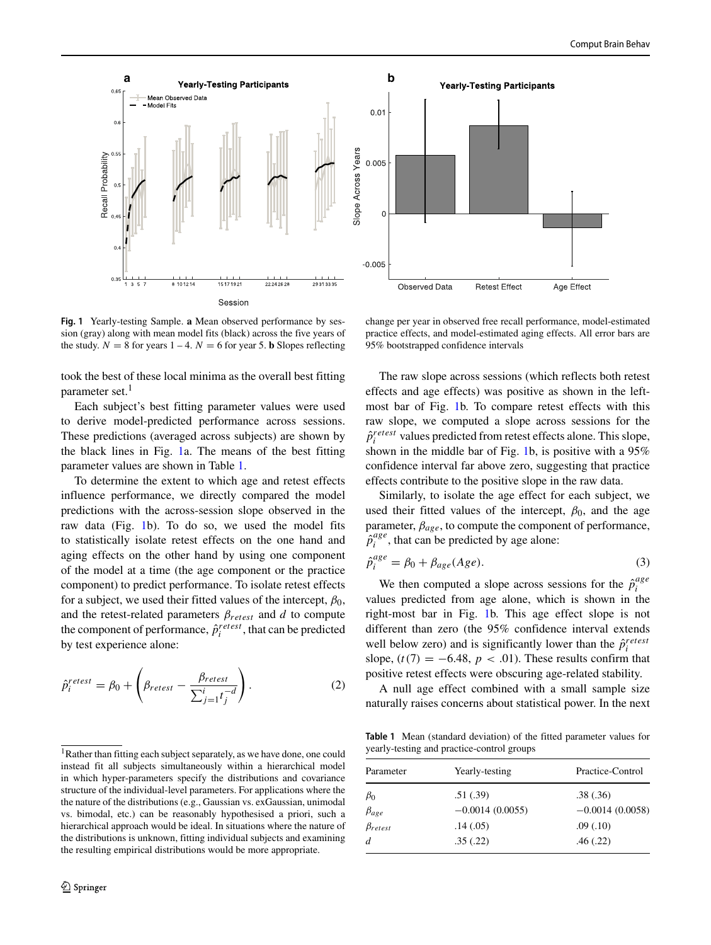<span id="page-3-0"></span>

**Fig. 1** Yearly-testing Sample. **a** Mean observed performance by session (gray) along with mean model fits (black) across the five years of the study.  $N = 8$  for years  $1 - 4$ .  $N = 6$  for year 5. **b** Slopes reflecting

took the best of these local minima as the overall best fitting parameter set.<sup>[1](#page-3-1)</sup>

Each subject's best fitting parameter values were used to derive model-predicted performance across sessions. These predictions (averaged across subjects) are shown by the black lines in Fig. [1a](#page-3-0). The means of the best fitting parameter values are shown in Table [1.](#page-3-2)

To determine the extent to which age and retest effects influence performance, we directly compared the model predictions with the across-session slope observed in the raw data (Fig. [1b](#page-3-0)). To do so, we used the model fits to statistically isolate retest effects on the one hand and aging effects on the other hand by using one component of the model at a time (the age component or the practice component) to predict performance. To isolate retest effects for a subject, we used their fitted values of the intercept,  $\beta_0$ , and the retest-related parameters *βretest* and *d* to compute the component of performance,  $\hat{p}_i^{retest}$ , that can be predicted by test experience alone:

$$
\hat{p}_i^{retest} = \beta_0 + \left(\beta_{retest} - \frac{\beta_{retest}}{\sum_{j=1}^i t_j^{-d}}\right). \tag{2}
$$

change per year in observed free recall performance, model-estimated practice effects, and model-estimated aging effects. All error bars are 95% bootstrapped confidence intervals

The raw slope across sessions (which reflects both retest effects and age effects) was positive as shown in the leftmost bar of Fig. [1b](#page-3-0). To compare retest effects with this raw slope, we computed a slope across sessions for the  $\hat{p}^{retest}_i$  values predicted from retest effects alone. This slope, shown in the middle bar of Fig. [1b](#page-3-0), is positive with a 95% confidence interval far above zero, suggesting that practice effects contribute to the positive slope in the raw data.

Similarly, to isolate the age effect for each subject, we used their fitted values of the intercept,  $\beta_0$ , and the age parameter,  $\beta_{age}$ , to compute the component of performance,  $\hat{p}^{age}_i$ , that can be predicted by age alone:

$$
\hat{p}_i^{age} = \beta_0 + \beta_{age}(Age). \tag{3}
$$

We then computed a slope across sessions for the  $\hat{p}^{age}_{i}$ *i* values predicted from age alone, which is shown in the right-most bar in Fig. [1b](#page-3-0). This age effect slope is not different than zero (the 95% confidence interval extends well below zero) and is significantly lower than the  $\hat{p}^{retesi}_{i}$ slope,  $(t(7) = -6.48, p < .01)$ . These results confirm that positive retest effects were obscuring age-related stability.

A null age effect combined with a small sample size naturally raises concerns about statistical power. In the next

<span id="page-3-2"></span>**Table 1** Mean (standard deviation) of the fitted parameter values for yearly-testing and practice-control groups

| Parameter        | Yearly-testing    | Practice-Control  |
|------------------|-------------------|-------------------|
| $\beta_0$        | .51(.39)          | .38(.36)          |
| $\beta_{age}$    | $-0.0014(0.0055)$ | $-0.0014(0.0058)$ |
| $\beta_{retest}$ | .14(0.05)         | .09(.10)          |
| $\overline{d}$   | .35(.22)          | .46(.22)          |

<span id="page-3-1"></span><sup>&</sup>lt;sup>1</sup>Rather than fitting each subject separately, as we have done, one could instead fit all subjects simultaneously within a hierarchical model in which hyper-parameters specify the distributions and covariance structure of the individual-level parameters. For applications where the the nature of the distributions (e.g., Gaussian vs. exGaussian, unimodal vs. bimodal, etc.) can be reasonably hypothesised a priori, such a hierarchical approach would be ideal. In situations where the nature of the distributions is unknown, fitting individual subjects and examining the resulting empirical distributions would be more appropriate.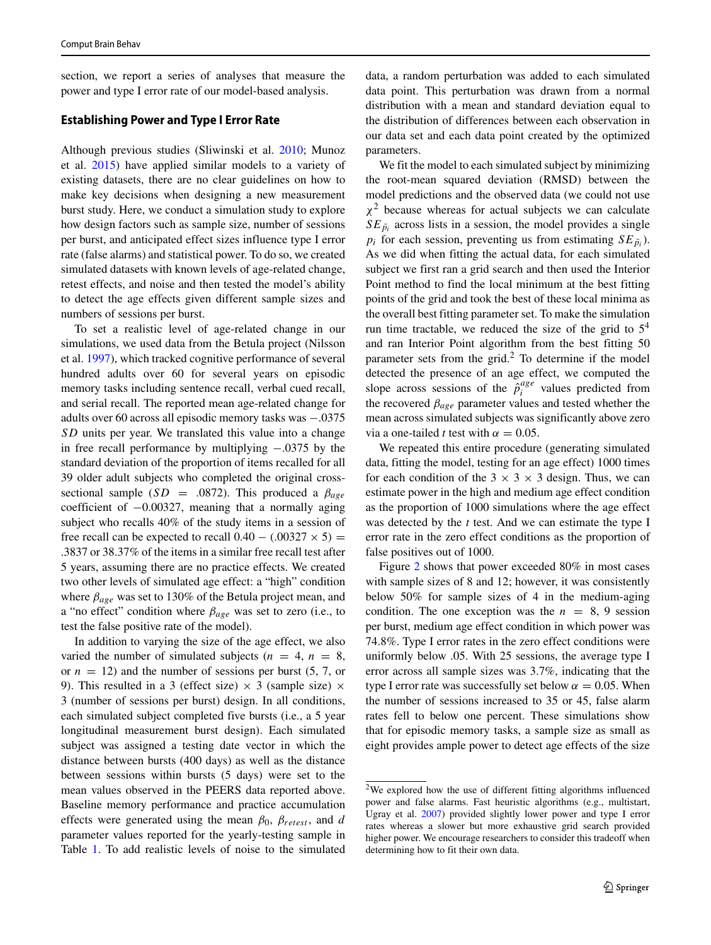section, we report a series of analyses that measure the power and type I error rate of our model-based analysis.

#### **Establishing Power and Type I Error Rate**

Although previous studies (Sliwinski et al. [2010;](#page-7-2) Munoz et al. [2015\)](#page-6-6) have applied similar models to a variety of existing datasets, there are no clear guidelines on how to make key decisions when designing a new measurement burst study. Here, we conduct a simulation study to explore how design factors such as sample size, number of sessions per burst, and anticipated effect sizes influence type I error rate (false alarms) and statistical power. To do so, we created simulated datasets with known levels of age-related change, retest effects, and noise and then tested the model's ability to detect the age effects given different sample sizes and numbers of sessions per burst.

To set a realistic level of age-related change in our simulations, we used data from the Betula project (Nilsson et al. [1997\)](#page-7-3), which tracked cognitive performance of several hundred adults over 60 for several years on episodic memory tasks including sentence recall, verbal cued recall, and serial recall. The reported mean age-related change for adults over 60 across all episodic memory tasks was −.0375 *SD* units per year. We translated this value into a change in free recall performance by multiplying −.0375 by the standard deviation of the proportion of items recalled for all 39 older adult subjects who completed the original crosssectional sample ( $SD = .0872$ ). This produced a  $\beta_{age}$ coefficient of −0.00327, meaning that a normally aging subject who recalls 40% of the study items in a session of free recall can be expected to recall  $0.40 - (0.00327 \times 5) =$ .3837 or 38.37% of the items in a similar free recall test after 5 years, assuming there are no practice effects. We created two other levels of simulated age effect: a "high" condition where *βage* was set to 130% of the Betula project mean, and a "no effect" condition where *βage* was set to zero (i.e., to test the false positive rate of the model).

In addition to varying the size of the age effect, we also varied the number of simulated subjects ( $n = 4$ ,  $n = 8$ , or  $n = 12$ ) and the number of sessions per burst  $(5, 7, 0r)$ 9). This resulted in a 3 (effect size)  $\times$  3 (sample size)  $\times$ 3 (number of sessions per burst) design. In all conditions, each simulated subject completed five bursts (i.e., a 5 year longitudinal measurement burst design). Each simulated subject was assigned a testing date vector in which the distance between bursts (400 days) as well as the distance between sessions within bursts (5 days) were set to the mean values observed in the PEERS data reported above. Baseline memory performance and practice accumulation effects were generated using the mean  $β_0$ ,  $β_{retest}$ , and *d* parameter values reported for the yearly-testing sample in Table [1.](#page-3-2) To add realistic levels of noise to the simulated

data, a random perturbation was added to each simulated data point. This perturbation was drawn from a normal distribution with a mean and standard deviation equal to the distribution of differences between each observation in our data set and each data point created by the optimized parameters.

We fit the model to each simulated subject by minimizing the root-mean squared deviation (RMSD) between the model predictions and the observed data (we could not use *χ*<sup>2</sup> because whereas for actual subjects we can calculate  $SE_{\bar{p}_i}$  across lists in a session, the model provides a single  $p_i$  for each session, preventing us from estimating  $SE_{\bar{p}_i}$ ). As we did when fitting the actual data, for each simulated subject we first ran a grid search and then used the Interior Point method to find the local minimum at the best fitting points of the grid and took the best of these local minima as the overall best fitting parameter set. To make the simulation run time tractable, we reduced the size of the grid to  $5<sup>4</sup>$ and ran Interior Point algorithm from the best fitting 50 parameter sets from the grid.[2](#page-4-0) To determine if the model detected the presence of an age effect, we computed the slope across sessions of the  $\hat{p}^{age}_{i}$  values predicted from the recovered *βage* parameter values and tested whether the mean across simulated subjects was significantly above zero via a one-tailed *t* test with  $\alpha = 0.05$ .

We repeated this entire procedure (generating simulated data, fitting the model, testing for an age effect) 1000 times for each condition of the  $3 \times 3 \times 3$  design. Thus, we can estimate power in the high and medium age effect condition as the proportion of 1000 simulations where the age effect was detected by the *t* test. And we can estimate the type I error rate in the zero effect conditions as the proportion of false positives out of 1000.

Figure [2](#page-5-0) shows that power exceeded 80% in most cases with sample sizes of 8 and 12; however, it was consistently below 50% for sample sizes of 4 in the medium-aging condition. The one exception was the  $n = 8, 9$  session per burst, medium age effect condition in which power was 74.8%. Type I error rates in the zero effect conditions were uniformly below .05. With 25 sessions, the average type I error across all sample sizes was 3.7%, indicating that the type I error rate was successfully set below  $\alpha = 0.05$ . When the number of sessions increased to 35 or 45, false alarm rates fell to below one percent. These simulations show that for episodic memory tasks, a sample size as small as eight provides ample power to detect age effects of the size

<span id="page-4-0"></span><sup>2</sup>We explored how the use of different fitting algorithms influenced power and false alarms. Fast heuristic algorithms (e.g., multistart, Ugray et al. [2007\)](#page-7-4) provided slightly lower power and type I error rates whereas a slower but more exhaustive grid search provided higher power. We encourage researchers to consider this tradeoff when determining how to fit their own data.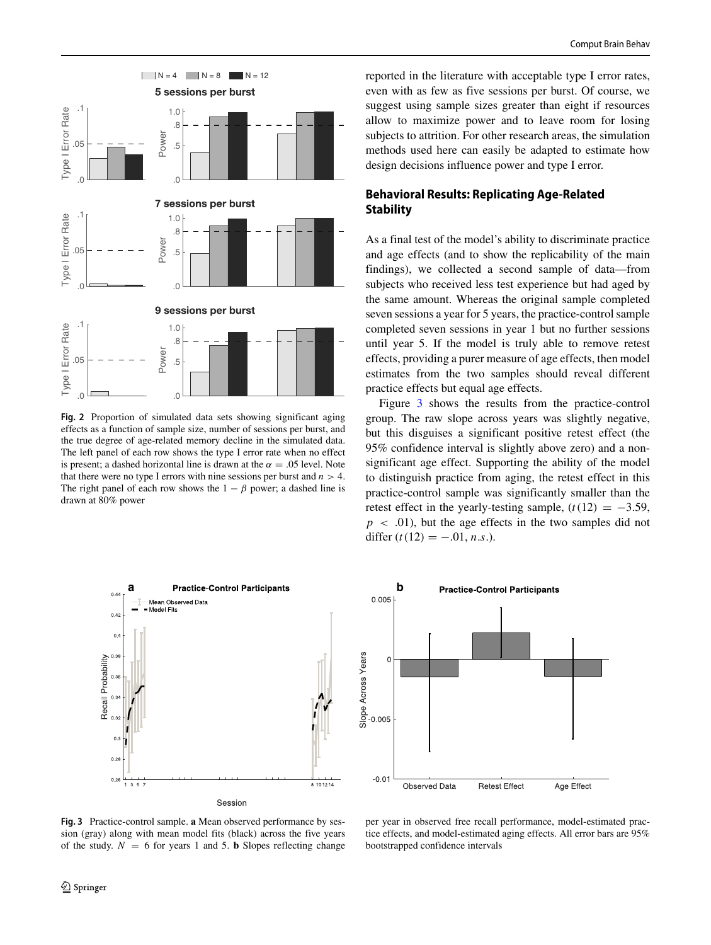<span id="page-5-0"></span>

**Fig. 2** Proportion of simulated data sets showing significant aging effects as a function of sample size, number of sessions per burst, and the true degree of age-related memory decline in the simulated data. The left panel of each row shows the type I error rate when no effect is present; a dashed horizontal line is drawn at the  $\alpha = .05$  level. Note that there were no type I errors with nine sessions per burst and  $n > 4$ . The right panel of each row shows the  $1 - \beta$  power; a dashed line is drawn at 80% power

reported in the literature with acceptable type I error rates, even with as few as five sessions per burst. Of course, we suggest using sample sizes greater than eight if resources allow to maximize power and to leave room for losing subjects to attrition. For other research areas, the simulation methods used here can easily be adapted to estimate how design decisions influence power and type I error.

# **Behavioral Results: Replicating Age-Related Stability**

As a final test of the model's ability to discriminate practice and age effects (and to show the replicability of the main findings), we collected a second sample of data—from subjects who received less test experience but had aged by the same amount. Whereas the original sample completed seven sessions a year for 5 years, the practice-control sample completed seven sessions in year 1 but no further sessions until year 5. If the model is truly able to remove retest effects, providing a purer measure of age effects, then model estimates from the two samples should reveal different practice effects but equal age effects.

Figure [3](#page-5-1) shows the results from the practice-control group. The raw slope across years was slightly negative, but this disguises a significant positive retest effect (the 95% confidence interval is slightly above zero) and a nonsignificant age effect. Supporting the ability of the model to distinguish practice from aging, the retest effect in this practice-control sample was significantly smaller than the retest effect in the yearly-testing sample,  $(t(12) = -3.59)$ ,  $p \sim .01$ ), but the age effects in the two samples did not differ  $(t(12) = -.01, n.s.).$ 

<span id="page-5-1"></span>



**Fig. 3** Practice-control sample. **a** Mean observed performance by session (gray) along with mean model fits (black) across the five years of the study.  $N = 6$  for years 1 and 5. **b** Slopes reflecting change

2 Springer

per year in observed free recall performance, model-estimated practice effects, and model-estimated aging effects. All error bars are 95% bootstrapped confidence intervals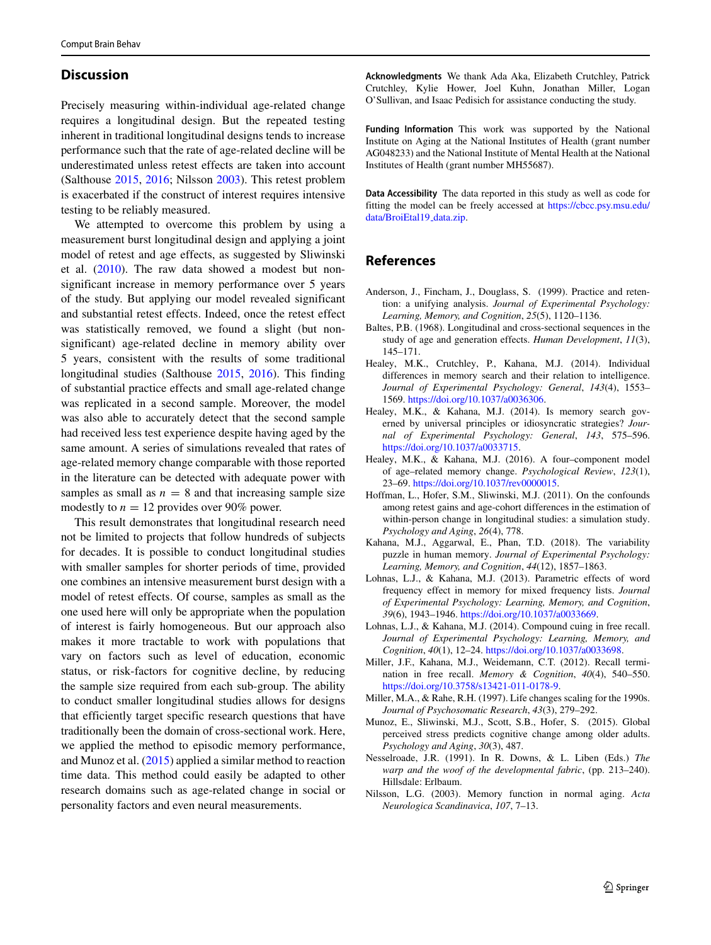## **Discussion**

Precisely measuring within-individual age-related change requires a longitudinal design. But the repeated testing inherent in traditional longitudinal designs tends to increase performance such that the rate of age-related decline will be underestimated unless retest effects are taken into account (Salthouse [2015,](#page-7-5) [2016;](#page-7-0) Nilsson [2003\)](#page-6-2). This retest problem is exacerbated if the construct of interest requires intensive testing to be reliably measured.

We attempted to overcome this problem by using a measurement burst longitudinal design and applying a joint model of retest and age effects, as suggested by Sliwinski et al. [\(2010\)](#page-7-2). The raw data showed a modest but nonsignificant increase in memory performance over 5 years of the study. But applying our model revealed significant and substantial retest effects. Indeed, once the retest effect was statistically removed, we found a slight (but nonsignificant) age-related decline in memory ability over 5 years, consistent with the results of some traditional longitudinal studies (Salthouse [2015,](#page-7-5) [2016\)](#page-7-0). This finding of substantial practice effects and small age-related change was replicated in a second sample. Moreover, the model was also able to accurately detect that the second sample had received less test experience despite having aged by the same amount. A series of simulations revealed that rates of age-related memory change comparable with those reported in the literature can be detected with adequate power with samples as small as  $n = 8$  and that increasing sample size modestly to  $n = 12$  provides over 90% power.

This result demonstrates that longitudinal research need not be limited to projects that follow hundreds of subjects for decades. It is possible to conduct longitudinal studies with smaller samples for shorter periods of time, provided one combines an intensive measurement burst design with a model of retest effects. Of course, samples as small as the one used here will only be appropriate when the population of interest is fairly homogeneous. But our approach also makes it more tractable to work with populations that vary on factors such as level of education, economic status, or risk-factors for cognitive decline, by reducing the sample size required from each sub-group. The ability to conduct smaller longitudinal studies allows for designs that efficiently target specific research questions that have traditionally been the domain of cross-sectional work. Here, we applied the method to episodic memory performance, and Munoz et al. [\(2015\)](#page-6-6) applied a similar method to reaction time data. This method could easily be adapted to other research domains such as age-related change in social or personality factors and even neural measurements.

**Acknowledgments** We thank Ada Aka, Elizabeth Crutchley, Patrick Crutchley, Kylie Hower, Joel Kuhn, Jonathan Miller, Logan O'Sullivan, and Isaac Pedisich for assistance conducting the study.

**Funding Information** This work was supported by the National Institute on Aging at the National Institutes of Health (grant number AG048233) and the National Institute of Mental Health at the National Institutes of Health (grant number MH55687).

**Data Accessibility** The data reported in this study as well as code for fitting the model can be freely accessed at [https://cbcc.psy.msu.edu/](https://cbcc.psy.msu.edu/data/BroiEtal19_data.zip) [data/BroiEtal19](https://cbcc.psy.msu.edu/data/BroiEtal19_data.zip) data.zip.

# **References**

- <span id="page-6-7"></span>Anderson, J., Fincham, J., Douglass, S. (1999). Practice and retention: a unifying analysis. *Journal of Experimental Psychology: Learning, Memory, and Cognition*, *25*(5), 1120–1136.
- <span id="page-6-0"></span>Baltes, P.B. (1968). Longitudinal and cross-sectional sequences in the study of age and generation effects. *Human Development*, *11*(3), 145–171.
- <span id="page-6-9"></span>Healey, M.K., Crutchley, P., Kahana, M.J. (2014). Individual differences in memory search and their relation to intelligence. *Journal of Experimental Psychology: General*, *143*(4), 1553– 1569. [https://doi.org/10.1037/a0036306.](https://doi.org/10.1037/a0036306)
- <span id="page-6-8"></span>Healey, M.K., & Kahana, M.J. (2014). Is memory search governed by universal principles or idiosyncratic strategies? *Journal of Experimental Psychology: General*, *143*, 575–596. [https://doi.org/10.1037/a0033715.](https://doi.org/10.1037/a0033715)
- <span id="page-6-4"></span>Healey, M.K., & Kahana, M.J. (2016). A four–component model of age–related memory change. *Psychological Review*, *123*(1), 23–69. [https://doi.org/10.1037/rev0000015.](https://doi.org/10.1037/rev0000015)
- <span id="page-6-1"></span>Hoffman, L., Hofer, S.M., Sliwinski, M.J. (2011). On the confounds among retest gains and age-cohort differences in the estimation of within-person change in longitudinal studies: a simulation study. *Psychology and Aging*, *26*(4), 778.
- <span id="page-6-3"></span>Kahana, M.J., Aggarwal, E., Phan, T.D. (2018). The variability puzzle in human memory. *Journal of Experimental Psychology: Learning, Memory, and Cognition*, *44*(12), 1857–1863.
- <span id="page-6-10"></span>Lohnas, L.J., & Kahana, M.J. (2013). Parametric effects of word frequency effect in memory for mixed frequency lists. *Journal of Experimental Psychology: Learning, Memory, and Cognition*, *39*(6), 1943–1946. [https://doi.org/10.1037/a0033669.](https://doi.org/10.1037/a0033669)
- <span id="page-6-11"></span>Lohnas, L.J., & Kahana, M.J. (2014). Compound cuing in free recall. *Journal of Experimental Psychology: Learning, Memory, and Cognition*, *40*(1), 12–24. [https://doi.org/10.1037/a0033698.](https://doi.org/10.1037/a0033698)
- <span id="page-6-12"></span>Miller, J.F., Kahana, M.J., Weidemann, C.T. (2012). Recall termination in free recall. *Memory & Cognition*, *40*(4), 540–550. [https://doi.org/10.3758/s13421-011-0178-9.](https://doi.org/10.3758/s13421-011-0178-9)
- <span id="page-6-13"></span>Miller, M.A., & Rahe, R.H. (1997). Life changes scaling for the 1990s. *Journal of Psychosomatic Research*, *43*(3), 279–292.
- <span id="page-6-6"></span>Munoz, E., Sliwinski, M.J., Scott, S.B., Hofer, S. (2015). Global perceived stress predicts cognitive change among older adults. *Psychology and Aging*, *30*(3), 487.
- <span id="page-6-5"></span>Nesselroade, J.R. (1991). In R. Downs, & L. Liben (Eds.) *The warp and the woof of the developmental fabric*, (pp. 213–240). Hillsdale: Erlbaum.
- <span id="page-6-2"></span>Nilsson, L.G. (2003). Memory function in normal aging. *Acta Neurologica Scandinavica*, *107*, 7–13.